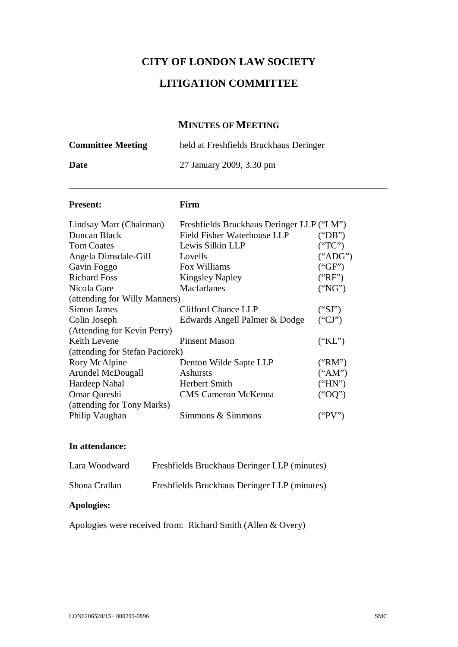# **CITY OF LONDON LAW SOCIETY**

# **LITIGATION COMMITTEE**

# **MINUTES OF MEETING**

| <b>Committee Meeting</b> | held at Freshfields Bruckhaus Deringer |
|--------------------------|----------------------------------------|
| Date                     | 27 January 2009, 3.30 pm               |
|                          |                                        |

#### **Present: Firm**

| Lindsay Marr (Chairman)         | Freshfields Bruckhaus Deringer LLP ("LM") |         |
|---------------------------------|-------------------------------------------|---------|
| Duncan Black                    | Field Fisher Waterhouse LLP               | ("DB")  |
| <b>Tom Coates</b>               | Lewis Silkin LLP                          | ("TC")  |
| Angela Dimsdale-Gill            | Lovells                                   | ("ADG") |
| Gavin Foggo                     | Fox Williams                              | ("GF")  |
| <b>Richard Foss</b>             | <b>Kingsley Napley</b>                    | ("RF")  |
| Nicola Gare                     | Macfarlanes                               | ("NG")  |
| (attending for Willy Manners)   |                                           |         |
| Simon James                     | Clifford Chance LLP                       | ("SI")  |
| Colin Joseph                    | Edwards Angell Palmer & Dodge             | ("CI")  |
| (Attending for Kevin Perry)     |                                           |         |
| Keith Levene                    | <b>Pinsent Mason</b>                      | ("KL")  |
| (attending for Stefan Paciorek) |                                           |         |
| Rory McAlpine                   | Denton Wilde Sapte LLP                    | ("RM")  |
| Arundel McDougall               | Ashursts                                  | ("AM")  |
| Hardeep Nahal                   | Herbert Smith                             | ("HN")  |
| Omar Qureshi                    | <b>CMS</b> Cameron McKenna                | ("OQ")  |
| (attending for Tony Marks)      |                                           |         |
| Philip Vaughan                  | Simmons & Simmons                         | ("PV")  |

# **In attendance:**

| Apologies:    |                                              |
|---------------|----------------------------------------------|
| Shona Crallan | Freshfields Bruckhaus Deringer LLP (minutes) |
| Lara Woodward | Freshfields Bruckhaus Deringer LLP (minutes) |

Apologies were received from: Richard Smith (Allen & Overy)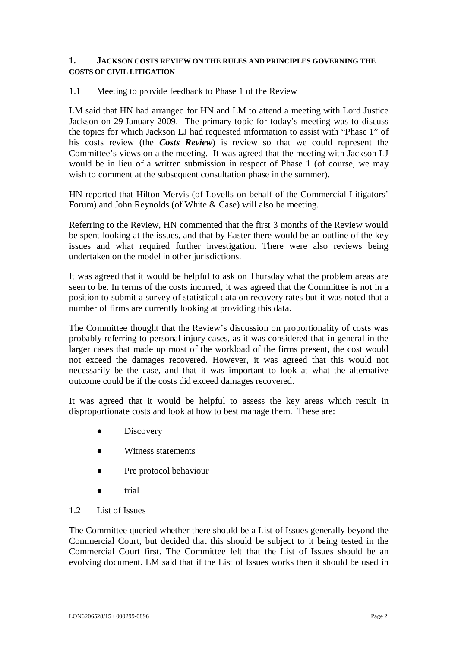#### **1. JACKSON COSTS REVIEW ON THE RULES AND PRINCIPLES GOVERNING THE COSTS OF CIVIL LITIGATION**

#### 1.1 Meeting to provide feedback to Phase 1 of the Review

LM said that HN had arranged for HN and LM to attend a meeting with Lord Justice Jackson on 29 January 2009. The primary topic for today's meeting was to discuss the topics for which Jackson LJ had requested information to assist with "Phase 1" of his costs review (the *Costs Review*) is review so that we could represent the Committee's views on a the meeting. It was agreed that the meeting with Jackson LJ would be in lieu of a written submission in respect of Phase 1 (of course, we may wish to comment at the subsequent consultation phase in the summer).

HN reported that Hilton Mervis (of Lovells on behalf of the Commercial Litigators' Forum) and John Reynolds (of White & Case) will also be meeting.

Referring to the Review, HN commented that the first 3 months of the Review would be spent looking at the issues, and that by Easter there would be an outline of the key issues and what required further investigation. There were also reviews being undertaken on the model in other jurisdictions.

It was agreed that it would be helpful to ask on Thursday what the problem areas are seen to be. In terms of the costs incurred, it was agreed that the Committee is not in a position to submit a survey of statistical data on recovery rates but it was noted that a number of firms are currently looking at providing this data.

The Committee thought that the Review's discussion on proportionality of costs was probably referring to personal injury cases, as it was considered that in general in the larger cases that made up most of the workload of the firms present, the cost would not exceed the damages recovered. However, it was agreed that this would not necessarily be the case, and that it was important to look at what the alternative outcome could be if the costs did exceed damages recovered.

It was agreed that it would be helpful to assess the key areas which result in disproportionate costs and look at how to best manage them. These are:

- Discovery
- **Ɣ** Witness statements
- Pre protocol behaviour
- trial

#### 1.2 List of Issues

The Committee queried whether there should be a List of Issues generally beyond the Commercial Court, but decided that this should be subject to it being tested in the Commercial Court first. The Committee felt that the List of Issues should be an evolving document. LM said that if the List of Issues works then it should be used in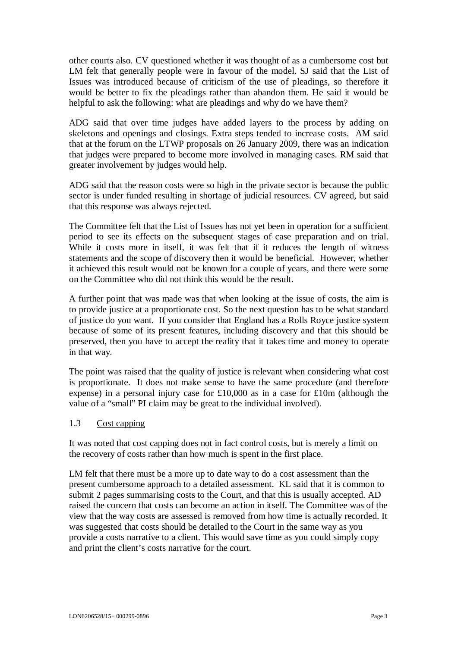other courts also. CV questioned whether it was thought of as a cumbersome cost but LM felt that generally people were in favour of the model. SJ said that the List of Issues was introduced because of criticism of the use of pleadings, so therefore it would be better to fix the pleadings rather than abandon them. He said it would be helpful to ask the following: what are pleadings and why do we have them?

ADG said that over time judges have added layers to the process by adding on skeletons and openings and closings. Extra steps tended to increase costs. AM said that at the forum on the LTWP proposals on 26 January 2009, there was an indication that judges were prepared to become more involved in managing cases. RM said that greater involvement by judges would help.

ADG said that the reason costs were so high in the private sector is because the public sector is under funded resulting in shortage of judicial resources. CV agreed, but said that this response was always rejected.

The Committee felt that the List of Issues has not yet been in operation for a sufficient period to see its effects on the subsequent stages of case preparation and on trial. While it costs more in itself, it was felt that if it reduces the length of witness statements and the scope of discovery then it would be beneficial. However, whether it achieved this result would not be known for a couple of years, and there were some on the Committee who did not think this would be the result.

A further point that was made was that when looking at the issue of costs, the aim is to provide justice at a proportionate cost. So the next question has to be what standard of justice do you want. If you consider that England has a Rolls Royce justice system because of some of its present features, including discovery and that this should be preserved, then you have to accept the reality that it takes time and money to operate in that way.

The point was raised that the quality of justice is relevant when considering what cost is proportionate. It does not make sense to have the same procedure (and therefore expense) in a personal injury case for £10,000 as in a case for £10m (although the value of a "small" PI claim may be great to the individual involved).

#### 1.3 Cost capping

It was noted that cost capping does not in fact control costs, but is merely a limit on the recovery of costs rather than how much is spent in the first place.

LM felt that there must be a more up to date way to do a cost assessment than the present cumbersome approach to a detailed assessment. KL said that it is common to submit 2 pages summarising costs to the Court, and that this is usually accepted. AD raised the concern that costs can become an action in itself. The Committee was of the view that the way costs are assessed is removed from how time is actually recorded. It was suggested that costs should be detailed to the Court in the same way as you provide a costs narrative to a client. This would save time as you could simply copy and print the client's costs narrative for the court.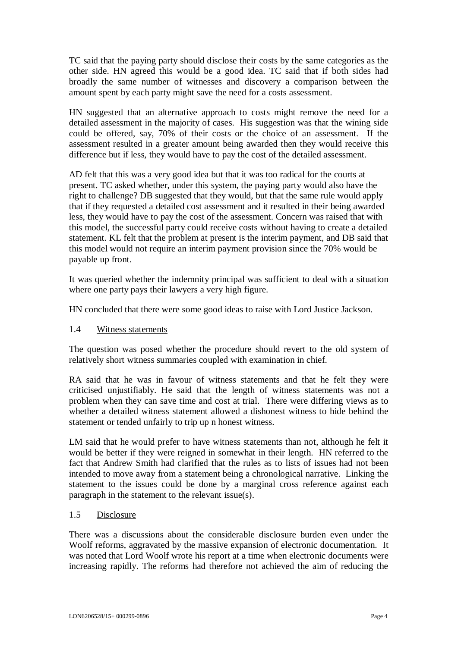TC said that the paying party should disclose their costs by the same categories as the other side. HN agreed this would be a good idea. TC said that if both sides had broadly the same number of witnesses and discovery a comparison between the amount spent by each party might save the need for a costs assessment.

HN suggested that an alternative approach to costs might remove the need for a detailed assessment in the majority of cases. His suggestion was that the wining side could be offered, say, 70% of their costs or the choice of an assessment. If the assessment resulted in a greater amount being awarded then they would receive this difference but if less, they would have to pay the cost of the detailed assessment.

AD felt that this was a very good idea but that it was too radical for the courts at present. TC asked whether, under this system, the paying party would also have the right to challenge? DB suggested that they would, but that the same rule would apply that if they requested a detailed cost assessment and it resulted in their being awarded less, they would have to pay the cost of the assessment. Concern was raised that with this model, the successful party could receive costs without having to create a detailed statement. KL felt that the problem at present is the interim payment, and DB said that this model would not require an interim payment provision since the 70% would be payable up front.

It was queried whether the indemnity principal was sufficient to deal with a situation where one party pays their lawyers a very high figure.

HN concluded that there were some good ideas to raise with Lord Justice Jackson.

#### 1.4 Witness statements

The question was posed whether the procedure should revert to the old system of relatively short witness summaries coupled with examination in chief.

RA said that he was in favour of witness statements and that he felt they were criticised unjustifiably. He said that the length of witness statements was not a problem when they can save time and cost at trial. There were differing views as to whether a detailed witness statement allowed a dishonest witness to hide behind the statement or tended unfairly to trip up n honest witness.

LM said that he would prefer to have witness statements than not, although he felt it would be better if they were reigned in somewhat in their length. HN referred to the fact that Andrew Smith had clarified that the rules as to lists of issues had not been intended to move away from a statement being a chronological narrative. Linking the statement to the issues could be done by a marginal cross reference against each paragraph in the statement to the relevant issue(s).

#### 1.5 Disclosure

There was a discussions about the considerable disclosure burden even under the Woolf reforms, aggravated by the massive expansion of electronic documentation. It was noted that Lord Woolf wrote his report at a time when electronic documents were increasing rapidly. The reforms had therefore not achieved the aim of reducing the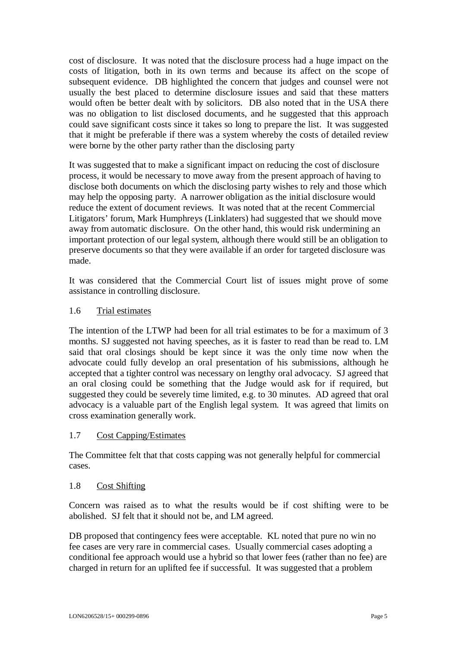cost of disclosure. It was noted that the disclosure process had a huge impact on the costs of litigation, both in its own terms and because its affect on the scope of subsequent evidence. DB highlighted the concern that judges and counsel were not usually the best placed to determine disclosure issues and said that these matters would often be better dealt with by solicitors. DB also noted that in the USA there was no obligation to list disclosed documents, and he suggested that this approach could save significant costs since it takes so long to prepare the list. It was suggested that it might be preferable if there was a system whereby the costs of detailed review were borne by the other party rather than the disclosing party

It was suggested that to make a significant impact on reducing the cost of disclosure process, it would be necessary to move away from the present approach of having to disclose both documents on which the disclosing party wishes to rely and those which may help the opposing party. A narrower obligation as the initial disclosure would reduce the extent of document reviews. It was noted that at the recent Commercial Litigators' forum, Mark Humphreys (Linklaters) had suggested that we should move away from automatic disclosure. On the other hand, this would risk undermining an important protection of our legal system, although there would still be an obligation to preserve documents so that they were available if an order for targeted disclosure was made.

It was considered that the Commercial Court list of issues might prove of some assistance in controlling disclosure.

## 1.6 Trial estimates

The intention of the LTWP had been for all trial estimates to be for a maximum of 3 months. SJ suggested not having speeches, as it is faster to read than be read to. LM said that oral closings should be kept since it was the only time now when the advocate could fully develop an oral presentation of his submissions, although he accepted that a tighter control was necessary on lengthy oral advocacy. SJ agreed that an oral closing could be something that the Judge would ask for if required, but suggested they could be severely time limited, e.g. to 30 minutes. AD agreed that oral advocacy is a valuable part of the English legal system. It was agreed that limits on cross examination generally work.

#### 1.7 Cost Capping/Estimates

The Committee felt that that costs capping was not generally helpful for commercial cases.

#### 1.8 Cost Shifting

Concern was raised as to what the results would be if cost shifting were to be abolished. SJ felt that it should not be, and LM agreed.

DB proposed that contingency fees were acceptable. KL noted that pure no win no fee cases are very rare in commercial cases. Usually commercial cases adopting a conditional fee approach would use a hybrid so that lower fees (rather than no fee) are charged in return for an uplifted fee if successful. It was suggested that a problem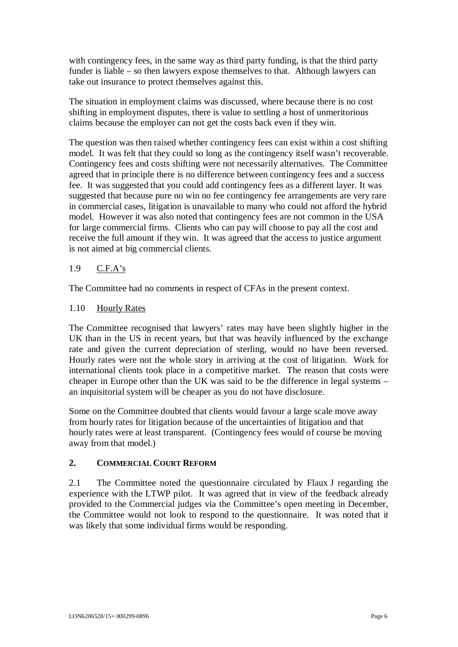with contingency fees, in the same way as third party funding, is that the third party funder is liable – so then lawyers expose themselves to that. Although lawyers can take out insurance to protect themselves against this.

The situation in employment claims was discussed, where because there is no cost shifting in employment disputes, there is value to settling a host of unmeritorious claims because the employer can not get the costs back even if they win.

The question was then raised whether contingency fees can exist within a cost shifting model. It was felt that they could so long as the contingency itself wasn't recoverable. Contingency fees and costs shifting were not necessarily alternatives. The Committee agreed that in principle there is no difference between contingency fees and a success fee. It was suggested that you could add contingency fees as a different layer. It was suggested that because pure no win no fee contingency fee arrangements are very rare in commercial cases, litigation is unavailable to many who could not afford the hybrid model. However it was also noted that contingency fees are not common in the USA for large commercial firms. Clients who can pay will choose to pay all the cost and receive the full amount if they win. It was agreed that the access to justice argument is not aimed at big commercial clients.

#### 1.9 C.F.A's

The Committee had no comments in respect of CFAs in the present context.

#### 1.10 Hourly Rates

The Committee recognised that lawyers' rates may have been slightly higher in the UK than in the US in recent years, but that was heavily influenced by the exchange rate and given the current depreciation of sterling, would no have been reversed. Hourly rates were not the whole story in arriving at the cost of litigation. Work for international clients took place in a competitive market. The reason that costs were cheaper in Europe other than the UK was said to be the difference in legal systems – an inquisitorial system will be cheaper as you do not have disclosure.

Some on the Committee doubted that clients would favour a large scale move away from hourly rates for litigation because of the uncertainties of litigation and that hourly rates were at least transparent. (Contingency fees would of course be moving away from that model.)

#### **2. COMMERCIAL COURT REFORM**

2.1 The Committee noted the questionnaire circulated by Flaux J regarding the experience with the LTWP pilot. It was agreed that in view of the feedback already provided to the Commercial judges via the Committee's open meeting in December, the Committee would not look to respond to the questionnaire. It was noted that it was likely that some individual firms would be responding.